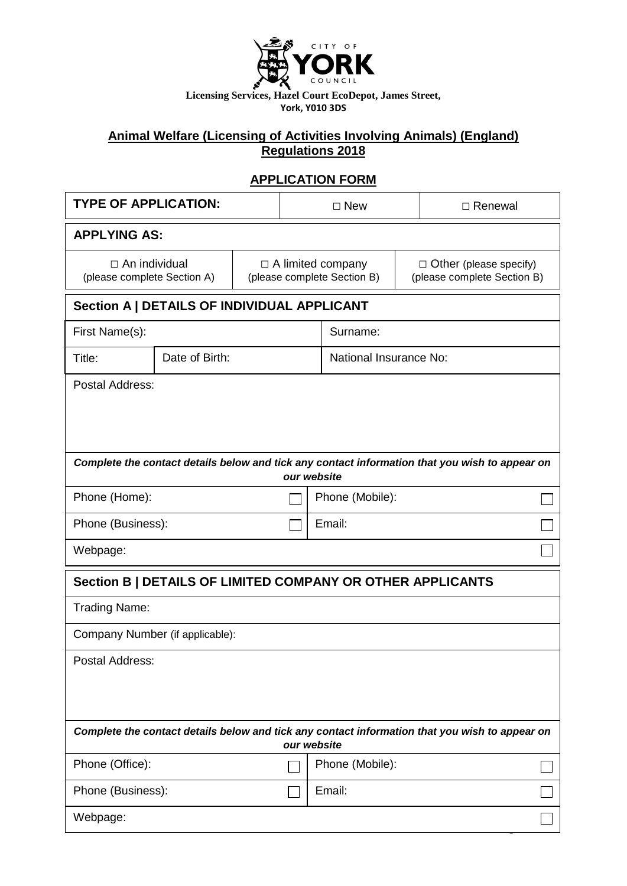

**York, Y010 3DS**

# **Animal Welfare (Licensing of Activities Involving Animals) (England) Regulations 2018**

# **APPLICATION FORM**

| <b>TYPE OF APPLICATION:</b>                                                                                   |                 |  |                                                         | $\square$ New          |                                                              | $\Box$ Renewal                                                                                 |  |
|---------------------------------------------------------------------------------------------------------------|-----------------|--|---------------------------------------------------------|------------------------|--------------------------------------------------------------|------------------------------------------------------------------------------------------------|--|
| <b>APPLYING AS:</b>                                                                                           |                 |  |                                                         |                        |                                                              |                                                                                                |  |
| $\Box$ An individual<br>(please complete Section A)                                                           |                 |  | $\Box$ A limited company<br>(please complete Section B) |                        | $\Box$ Other (please specify)<br>(please complete Section B) |                                                                                                |  |
| Section A   DETAILS OF INDIVIDUAL APPLICANT                                                                   |                 |  |                                                         |                        |                                                              |                                                                                                |  |
| First Name(s):                                                                                                |                 |  |                                                         | Surname:               |                                                              |                                                                                                |  |
| Title:                                                                                                        | Date of Birth:  |  |                                                         | National Insurance No: |                                                              |                                                                                                |  |
| Postal Address:                                                                                               |                 |  |                                                         |                        |                                                              |                                                                                                |  |
|                                                                                                               |                 |  |                                                         |                        |                                                              |                                                                                                |  |
|                                                                                                               |                 |  |                                                         |                        |                                                              |                                                                                                |  |
|                                                                                                               |                 |  |                                                         | our website            |                                                              | Complete the contact details below and tick any contact information that you wish to appear on |  |
| Phone (Home):                                                                                                 | Phone (Mobile): |  |                                                         |                        |                                                              |                                                                                                |  |
| Phone (Business):                                                                                             |                 |  |                                                         | Email:                 |                                                              |                                                                                                |  |
| Webpage:                                                                                                      |                 |  |                                                         |                        |                                                              |                                                                                                |  |
| Section B   DETAILS OF LIMITED COMPANY OR OTHER APPLICANTS                                                    |                 |  |                                                         |                        |                                                              |                                                                                                |  |
| <b>Trading Name:</b>                                                                                          |                 |  |                                                         |                        |                                                              |                                                                                                |  |
| Company Number (if applicable):                                                                               |                 |  |                                                         |                        |                                                              |                                                                                                |  |
| Postal Address:                                                                                               |                 |  |                                                         |                        |                                                              |                                                                                                |  |
|                                                                                                               |                 |  |                                                         |                        |                                                              |                                                                                                |  |
|                                                                                                               |                 |  |                                                         |                        |                                                              |                                                                                                |  |
| Complete the contact details below and tick any contact information that you wish to appear on<br>our website |                 |  |                                                         |                        |                                                              |                                                                                                |  |
| Phone (Mobile):<br>Phone (Office):                                                                            |                 |  |                                                         |                        |                                                              |                                                                                                |  |
| Phone (Business):<br>Email:                                                                                   |                 |  |                                                         |                        |                                                              |                                                                                                |  |
| Webpage:                                                                                                      |                 |  |                                                         |                        |                                                              |                                                                                                |  |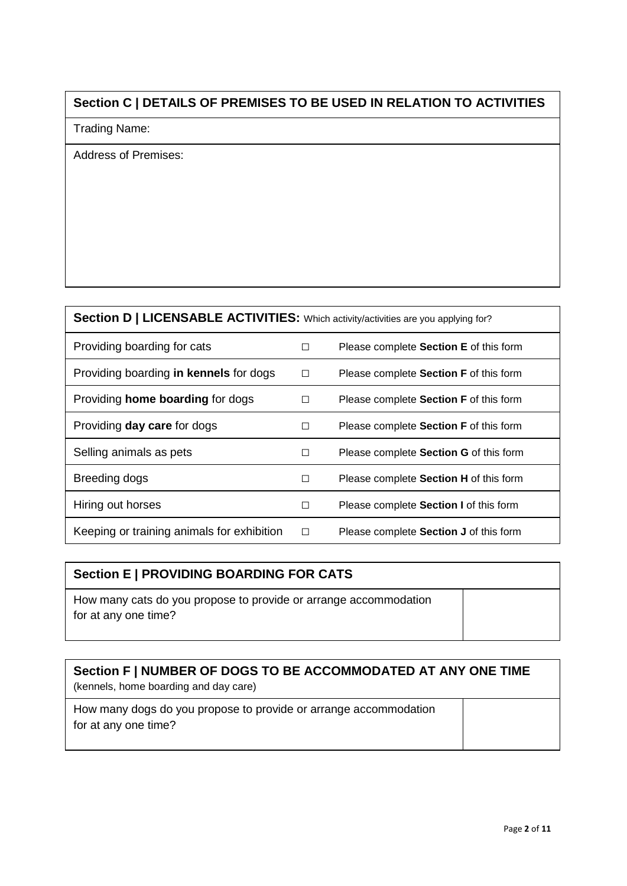# **Section C | DETAILS OF PREMISES TO BE USED IN RELATION TO ACTIVITIES**

# Trading Name:

Address of Premises:

| Section D   LICENSABLE ACTIVITIES: Which activity/activities are you applying for? |        |                                        |  |  |  |  |
|------------------------------------------------------------------------------------|--------|----------------------------------------|--|--|--|--|
| Providing boarding for cats                                                        | П      | Please complete Section E of this form |  |  |  |  |
| Providing boarding in kennels for dogs                                             | □      | Please complete Section F of this form |  |  |  |  |
| Providing <b>home boarding</b> for dogs                                            | □      | Please complete Section F of this form |  |  |  |  |
| Providing day care for dogs                                                        | □      | Please complete Section F of this form |  |  |  |  |
| Selling animals as pets                                                            | П      | Please complete Section G of this form |  |  |  |  |
| Breeding dogs                                                                      | □      | Please complete Section H of this form |  |  |  |  |
| Hiring out horses                                                                  | □      | Please complete Section I of this form |  |  |  |  |
| Keeping or training animals for exhibition                                         | $\Box$ | Please complete Section J of this form |  |  |  |  |

| <b>Section E   PROVIDING BOARDING FOR CATS</b>                                           |  |
|------------------------------------------------------------------------------------------|--|
| How many cats do you propose to provide or arrange accommodation<br>for at any one time? |  |

| Section F   NUMBER OF DOGS TO BE ACCOMMODATED AT ANY ONE TIME<br>(kennels, home boarding and day care) |  |
|--------------------------------------------------------------------------------------------------------|--|
| How many dogs do you propose to provide or arrange accommodation<br>for at any one time?               |  |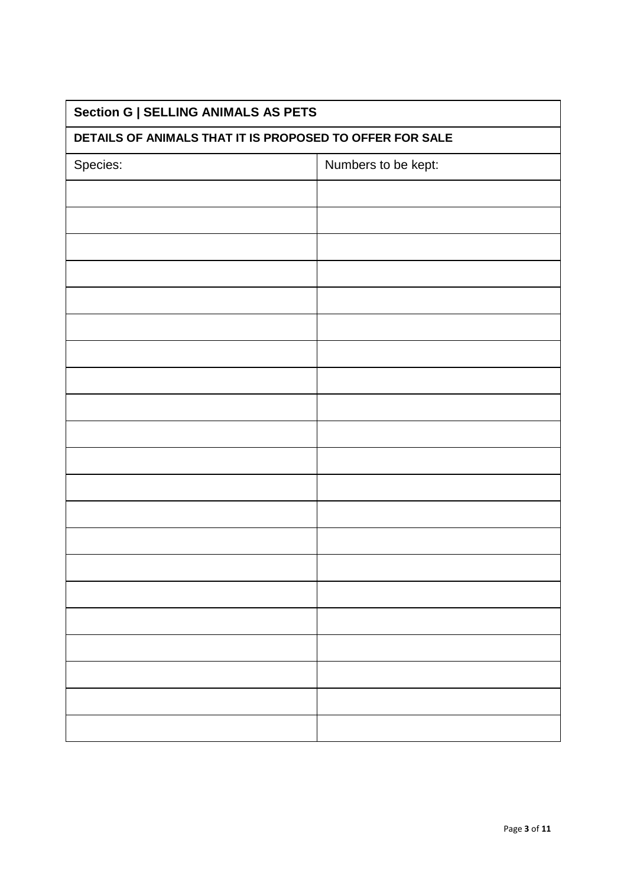| Section G   SELLING ANIMALS AS PETS                      |                     |  |  |  |  |
|----------------------------------------------------------|---------------------|--|--|--|--|
| DETAILS OF ANIMALS THAT IT IS PROPOSED TO OFFER FOR SALE |                     |  |  |  |  |
| Species:                                                 | Numbers to be kept: |  |  |  |  |
|                                                          |                     |  |  |  |  |
|                                                          |                     |  |  |  |  |
|                                                          |                     |  |  |  |  |
|                                                          |                     |  |  |  |  |
|                                                          |                     |  |  |  |  |
|                                                          |                     |  |  |  |  |
|                                                          |                     |  |  |  |  |
|                                                          |                     |  |  |  |  |
|                                                          |                     |  |  |  |  |
|                                                          |                     |  |  |  |  |
|                                                          |                     |  |  |  |  |
|                                                          |                     |  |  |  |  |
|                                                          |                     |  |  |  |  |
|                                                          |                     |  |  |  |  |
|                                                          |                     |  |  |  |  |
|                                                          |                     |  |  |  |  |
|                                                          |                     |  |  |  |  |
|                                                          |                     |  |  |  |  |
|                                                          |                     |  |  |  |  |
|                                                          |                     |  |  |  |  |
|                                                          |                     |  |  |  |  |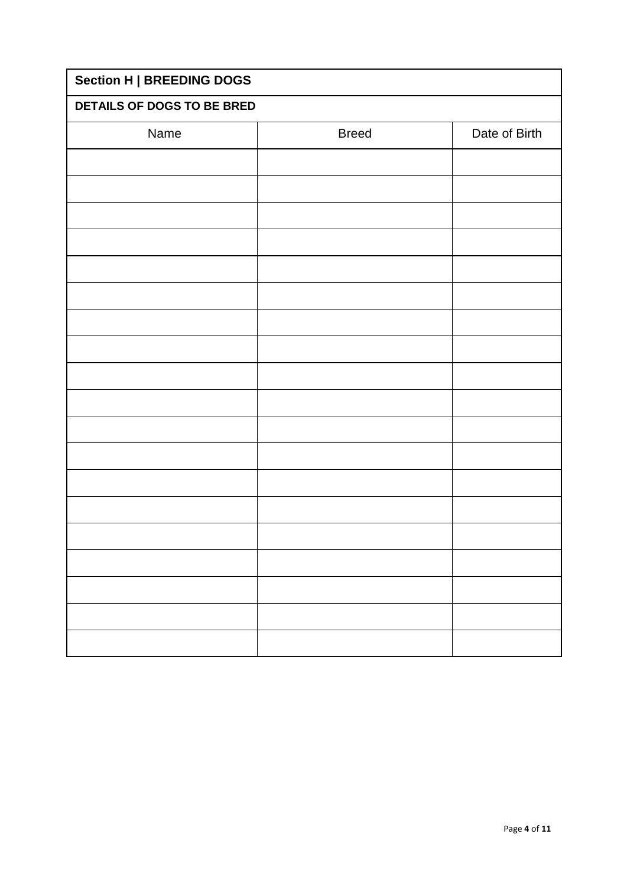| Section H   BREEDING DOGS         |              |               |  |  |  |  |
|-----------------------------------|--------------|---------------|--|--|--|--|
| <b>DETAILS OF DOGS TO BE BRED</b> |              |               |  |  |  |  |
| Name                              | <b>Breed</b> | Date of Birth |  |  |  |  |
|                                   |              |               |  |  |  |  |
|                                   |              |               |  |  |  |  |
|                                   |              |               |  |  |  |  |
|                                   |              |               |  |  |  |  |
|                                   |              |               |  |  |  |  |
|                                   |              |               |  |  |  |  |
|                                   |              |               |  |  |  |  |
|                                   |              |               |  |  |  |  |
|                                   |              |               |  |  |  |  |
|                                   |              |               |  |  |  |  |
|                                   |              |               |  |  |  |  |
|                                   |              |               |  |  |  |  |
|                                   |              |               |  |  |  |  |
|                                   |              |               |  |  |  |  |
|                                   |              |               |  |  |  |  |
|                                   |              |               |  |  |  |  |
|                                   |              |               |  |  |  |  |
|                                   |              |               |  |  |  |  |
|                                   |              |               |  |  |  |  |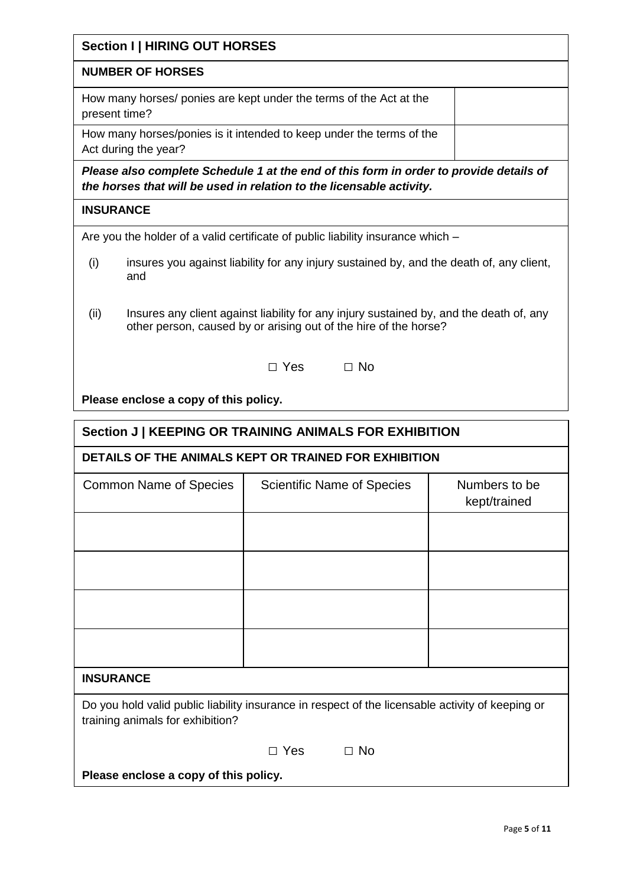| Section I   HIRING OUT HORSES                                                                                                                                       |  |  |  |  |  |
|---------------------------------------------------------------------------------------------------------------------------------------------------------------------|--|--|--|--|--|
| <b>NUMBER OF HORSES</b>                                                                                                                                             |  |  |  |  |  |
| How many horses/ ponies are kept under the terms of the Act at the<br>present time?                                                                                 |  |  |  |  |  |
| How many horses/ponies is it intended to keep under the terms of the<br>Act during the year?                                                                        |  |  |  |  |  |
| Please also complete Schedule 1 at the end of this form in order to provide details of<br>the horses that will be used in relation to the licensable activity.      |  |  |  |  |  |
| <b>INSURANCE</b>                                                                                                                                                    |  |  |  |  |  |
| Are you the holder of a valid certificate of public liability insurance which –                                                                                     |  |  |  |  |  |
| (i)<br>insures you against liability for any injury sustained by, and the death of, any client,<br>and                                                              |  |  |  |  |  |
| Insures any client against liability for any injury sustained by, and the death of, any<br>(ii)<br>other person, caused by or arising out of the hire of the horse? |  |  |  |  |  |
| $\Box$ Yes $\Box$ No                                                                                                                                                |  |  |  |  |  |
| Please enclose a copy of this policy.                                                                                                                               |  |  |  |  |  |
| Section J   KEEPING OR TRAINING ANIMALS FOR EXHIBITION                                                                                                              |  |  |  |  |  |
| DETAILS OF THE ANIMALS KEPT OR TRAINED FOR EXHIBITION                                                                                                               |  |  |  |  |  |

# **DETAILS OF THE ANIMALS KEPT OR TRAINED FOR EXHIBITION**

| <b>Common Name of Species</b>                                                                                                        |            | <b>Scientific Name of Species</b> | Numbers to be<br>kept/trained |  |  |  |
|--------------------------------------------------------------------------------------------------------------------------------------|------------|-----------------------------------|-------------------------------|--|--|--|
|                                                                                                                                      |            |                                   |                               |  |  |  |
|                                                                                                                                      |            |                                   |                               |  |  |  |
|                                                                                                                                      |            |                                   |                               |  |  |  |
|                                                                                                                                      |            |                                   |                               |  |  |  |
| <b>INSURANCE</b>                                                                                                                     |            |                                   |                               |  |  |  |
| Do you hold valid public liability insurance in respect of the licensable activity of keeping or<br>training animals for exhibition? |            |                                   |                               |  |  |  |
|                                                                                                                                      | $\Box$ Yes | $\Box$ No                         |                               |  |  |  |
| Please enclose a copy of this policy.                                                                                                |            |                                   |                               |  |  |  |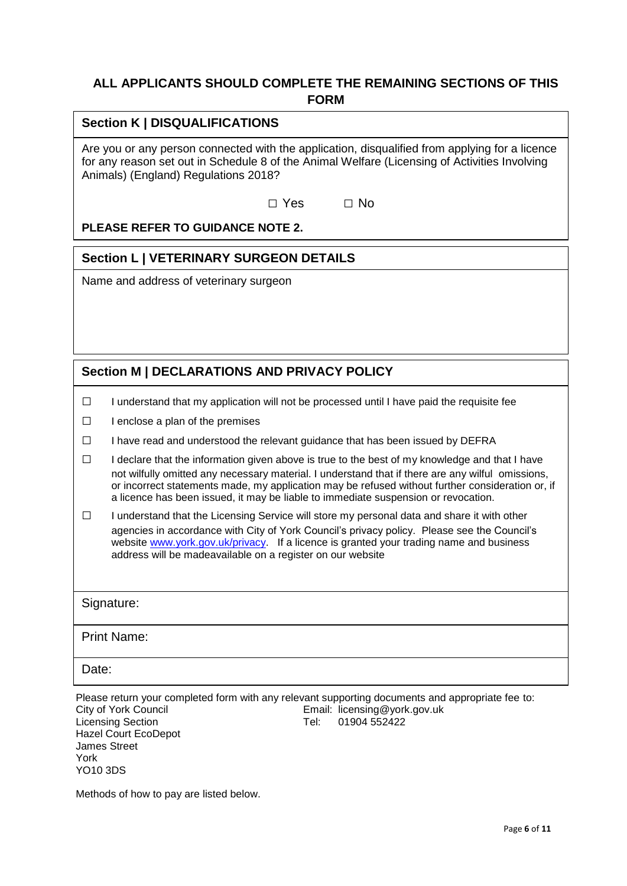### **ALL APPLICANTS SHOULD COMPLETE THE REMAINING SECTIONS OF THIS FORM**

# **Section K | DISQUALIFICATIONS**

Are you or any person connected with the application, disqualified from applying for a licence for any reason set out in Schedule 8 of the Animal Welfare (Licensing of Activities Involving Animals) (England) Regulations 2018?

 $\Box$  Yes  $\Box$  No

**PLEASE REFER TO GUIDANCE NOTE 2.**

#### **Section L | VETERINARY SURGEON DETAILS**

Name and address of veterinary surgeon

#### **Section M | DECLARATIONS AND PRIVACY POLICY**

| I understand that my application will not be processed until I have paid the requisite fee |  |  |  |  |  |
|--------------------------------------------------------------------------------------------|--|--|--|--|--|
|--------------------------------------------------------------------------------------------|--|--|--|--|--|

- $\Box$  I enclose a plan of the premises
- $\square$  I have read and understood the relevant quidance that has been issued by DEFRA
- $\Box$  I declare that the information given above is true to the best of my knowledge and that I have not wilfully omitted any necessary material. I understand that if there are any wilful omissions, or incorrect statements made, my application may be refused without further consideration or, if a licence has been issued, it may be liable to immediate suspension or revocation.

 $\Box$  I understand that the Licensing Service will store my personal data and share it with other agencies in accordance with City of York Council's privacy policy. Please see the Council's website [www.york.gov.uk/privacy.](http://www.york.gov.uk/privacy) If a licence is granted your trading name and business address will be madeavailable on a register on our website

| Signature:                                                                                       |
|--------------------------------------------------------------------------------------------------|
|                                                                                                  |
| <b>Print Name:</b>                                                                               |
| Date:                                                                                            |
| Dlogge return your completed form with ony relayant supporting decuments and oppropriate fee to: |

Please return your completed form with any relevant supporting documents and appropriate fee to:<br>City of York Council<br>Email: licensing@york.gov.uk Email: licensing@york.gov.uk<br>Tel: 01904.552422 Licensing Section **Tel:** 01904 55242222 Hazel Court EcoDepot James Street York YO10 3DS

Methods of how to pay are listed below.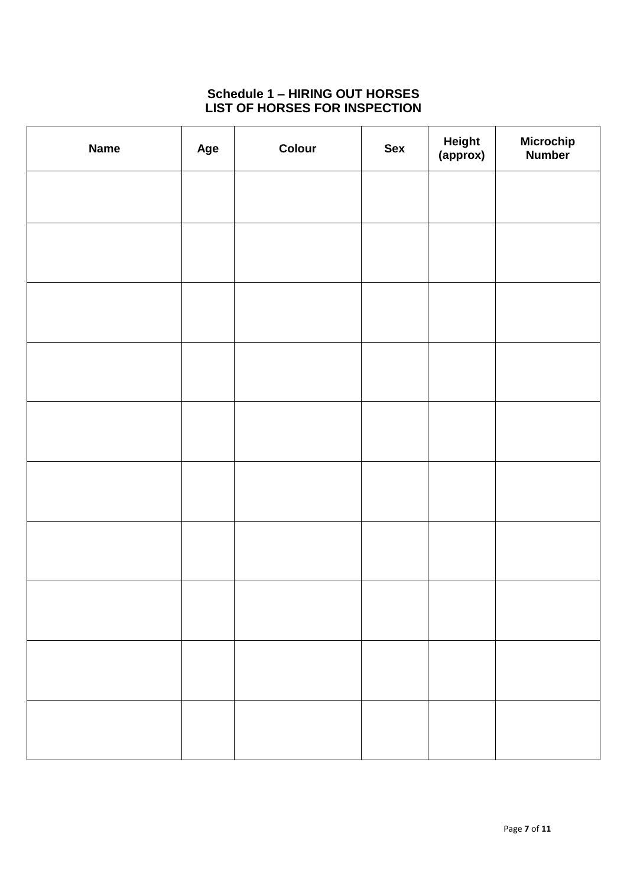## **Schedule 1 – HIRING OUT HORSES LIST OF HORSES FOR INSPECTION**

| <b>Name</b> | Age | Colour | <b>Sex</b> | Height<br>(approx) | Microchip<br>Number |
|-------------|-----|--------|------------|--------------------|---------------------|
|             |     |        |            |                    |                     |
|             |     |        |            |                    |                     |
|             |     |        |            |                    |                     |
|             |     |        |            |                    |                     |
|             |     |        |            |                    |                     |
|             |     |        |            |                    |                     |
|             |     |        |            |                    |                     |
|             |     |        |            |                    |                     |
|             |     |        |            |                    |                     |
|             |     |        |            |                    |                     |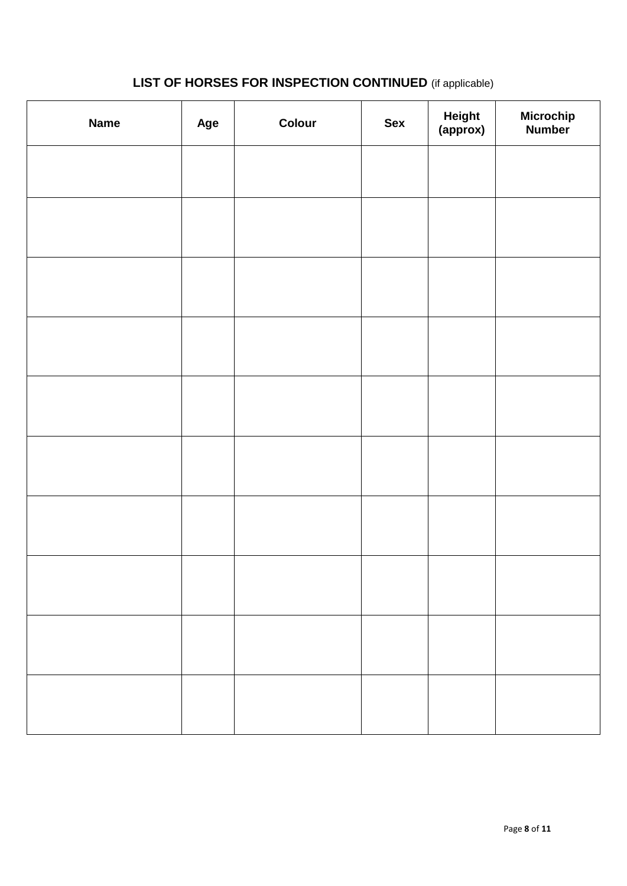# **LIST OF HORSES FOR INSPECTION CONTINUED** (if applicable)

| <b>Name</b> | Age | Colour | <b>Sex</b> | Height<br>(approx) | Microchip<br>Number |
|-------------|-----|--------|------------|--------------------|---------------------|
|             |     |        |            |                    |                     |
|             |     |        |            |                    |                     |
|             |     |        |            |                    |                     |
|             |     |        |            |                    |                     |
|             |     |        |            |                    |                     |
|             |     |        |            |                    |                     |
|             |     |        |            |                    |                     |
|             |     |        |            |                    |                     |
|             |     |        |            |                    |                     |
|             |     |        |            |                    |                     |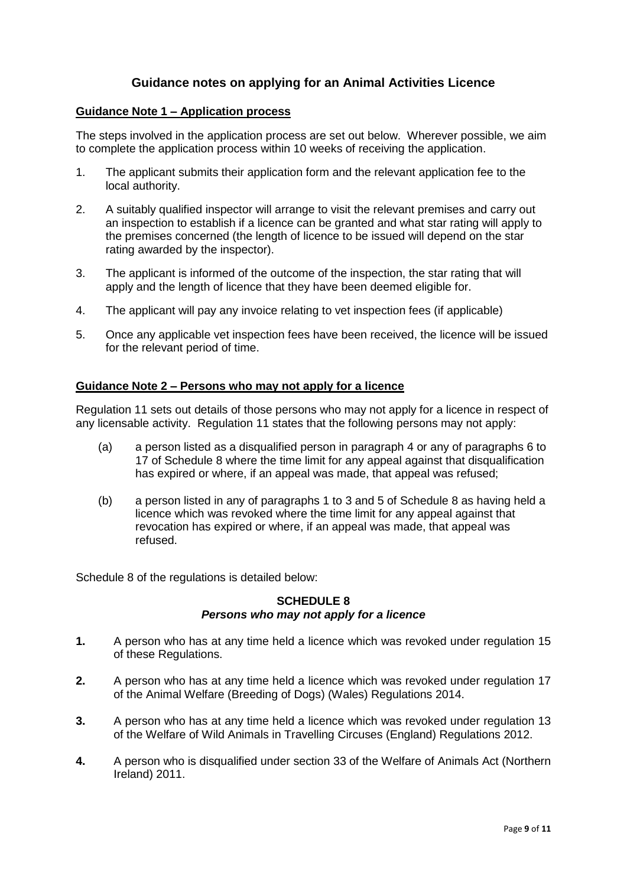### **Guidance notes on applying for an Animal Activities Licence**

#### **Guidance Note 1 – Application process**

The steps involved in the application process are set out below. Wherever possible, we aim to complete the application process within 10 weeks of receiving the application.

- 1. The applicant submits their application form and the relevant application fee to the local authority.
- 2. A suitably qualified inspector will arrange to visit the relevant premises and carry out an inspection to establish if a licence can be granted and what star rating will apply to the premises concerned (the length of licence to be issued will depend on the star rating awarded by the inspector).
- 3. The applicant is informed of the outcome of the inspection, the star rating that will apply and the length of licence that they have been deemed eligible for.
- 4. The applicant will pay any invoice relating to vet inspection fees (if applicable)
- 5. Once any applicable vet inspection fees have been received, the licence will be issued for the relevant period of time.

#### **Guidance Note 2 – Persons who may not apply for a licence**

Regulation 11 sets out details of those persons who may not apply for a licence in respect of any licensable activity. Regulation 11 states that the following persons may not apply:

- (a) a person listed as a disqualified person in paragraph 4 or any of paragraphs 6 to 17 of Schedule 8 where the time limit for any appeal against that disqualification has expired or where, if an appeal was made, that appeal was refused;
- (b) a person listed in any of paragraphs 1 to 3 and 5 of Schedule 8 as having held a licence which was revoked where the time limit for any appeal against that revocation has expired or where, if an appeal was made, that appeal was refused.

Schedule 8 of the regulations is detailed below:

#### **SCHEDULE 8** *Persons who may not apply for a licence*

- **1.** A person who has at any time held a licence which was revoked under regulation 15 of these Regulations.
- **2.** A person who has at any time held a licence which was revoked under regulation 17 of the Animal Welfare (Breeding of Dogs) (Wales) Regulations 2014.
- **3.** A person who has at any time held a licence which was revoked under regulation 13 of the Welfare of Wild Animals in Travelling Circuses (England) Regulations 2012.
- **4.** A person who is disqualified under section 33 of the Welfare of Animals Act (Northern Ireland) 2011.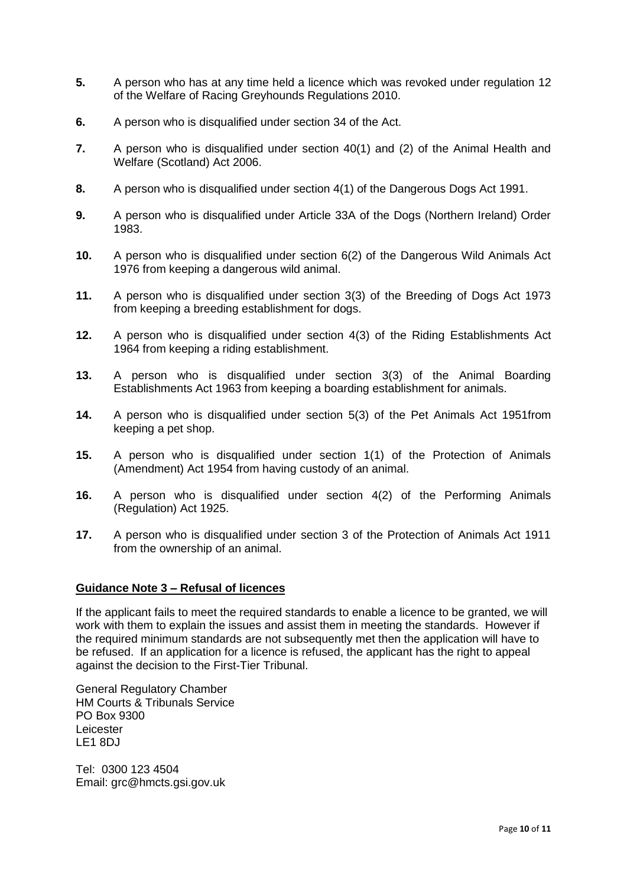- **5.** A person who has at any time held a licence which was revoked under regulation 12 of the Welfare of Racing Greyhounds Regulations 2010.
- **6.** A person who is disqualified under section 34 of the Act.
- **7.** A person who is disqualified under section 40(1) and (2) of the Animal Health and Welfare (Scotland) Act 2006.
- **8.** A person who is disqualified under section 4(1) of the Dangerous Dogs Act 1991.
- **9.** A person who is disqualified under Article 33A of the Dogs (Northern Ireland) Order 1983.
- **10.** A person who is disqualified under section 6(2) of the Dangerous Wild Animals Act 1976 from keeping a dangerous wild animal.
- **11.** A person who is disqualified under section 3(3) of the Breeding of Dogs Act 1973 from keeping a breeding establishment for dogs.
- **12.** A person who is disqualified under section 4(3) of the Riding Establishments Act 1964 from keeping a riding establishment.
- **13.** A person who is disqualified under section 3(3) of the Animal Boarding Establishments Act 1963 from keeping a boarding establishment for animals.
- **14.** A person who is disqualified under section 5(3) of the Pet Animals Act 1951from keeping a pet shop.
- **15.** A person who is disqualified under section 1(1) of the Protection of Animals (Amendment) Act 1954 from having custody of an animal.
- **16.** A person who is disqualified under section 4(2) of the Performing Animals (Regulation) Act 1925.
- **17.** A person who is disqualified under section 3 of the Protection of Animals Act 1911 from the ownership of an animal.

#### **Guidance Note 3 – Refusal of licences**

If the applicant fails to meet the required standards to enable a licence to be granted, we will work with them to explain the issues and assist them in meeting the standards. However if the required minimum standards are not subsequently met then the application will have to be refused. If an application for a licence is refused, the applicant has the right to appeal against the decision to the First-Tier Tribunal.

General Regulatory Chamber HM Courts & Tribunals Service PO Box 9300 Leicester LE1 8DJ

Tel: 0300 123 4504 Email: grc@hmcts.gsi.gov.uk